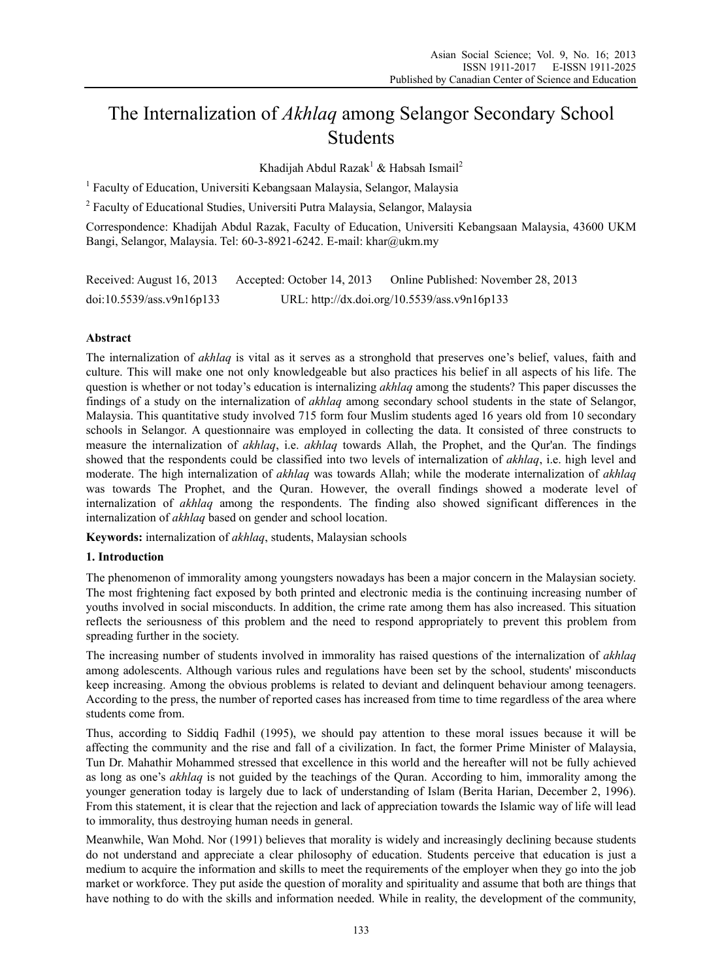# The Internalization of *Akhlaq* among Selangor Secondary School Students

Khadijah Abdul Razak $^1$  & Habsah Ismail $^2$ 

<sup>1</sup> Faculty of Education, Universiti Kebangsaan Malaysia, Selangor, Malaysia

<sup>2</sup> Faculty of Educational Studies, Universiti Putra Malaysia, Selangor, Malaysia

Correspondence: Khadijah Abdul Razak, Faculty of Education, Universiti Kebangsaan Malaysia, 43600 UKM Bangi, Selangor, Malaysia. Tel: 60-3-8921-6242. E-mail: khar@ukm.my

| Received: August 16, 2013 | Accepted: October 14, 2013 | Online Published: November 28, 2013          |
|---------------------------|----------------------------|----------------------------------------------|
| doi:10.5539/ass.v9n16p133 |                            | URL: http://dx.doi.org/10.5539/ass.v9n16p133 |

# **Abstract**

The internalization of *akhlaq* is vital as it serves as a stronghold that preserves one's belief, values, faith and culture. This will make one not only knowledgeable but also practices his belief in all aspects of his life. The question is whether or not today's education is internalizing *akhlaq* among the students? This paper discusses the findings of a study on the internalization of *akhlaq* among secondary school students in the state of Selangor, Malaysia. This quantitative study involved 715 form four Muslim students aged 16 years old from 10 secondary schools in Selangor. A questionnaire was employed in collecting the data. It consisted of three constructs to measure the internalization of *akhlaq*, i.e. *akhlaq* towards Allah, the Prophet, and the Qur'an. The findings showed that the respondents could be classified into two levels of internalization of *akhlaq*, i.e. high level and moderate. The high internalization of *akhlaq* was towards Allah; while the moderate internalization of *akhlaq* was towards The Prophet, and the Quran. However, the overall findings showed a moderate level of internalization of *akhlaq* among the respondents. The finding also showed significant differences in the internalization of *akhlaq* based on gender and school location.

**Keywords:** internalization of *akhlaq*, students, Malaysian schools

# **1. Introduction**

The phenomenon of immorality among youngsters nowadays has been a major concern in the Malaysian society. The most frightening fact exposed by both printed and electronic media is the continuing increasing number of youths involved in social misconducts. In addition, the crime rate among them has also increased. This situation reflects the seriousness of this problem and the need to respond appropriately to prevent this problem from spreading further in the society.

The increasing number of students involved in immorality has raised questions of the internalization of *akhlaq* among adolescents. Although various rules and regulations have been set by the school, students' misconducts keep increasing. Among the obvious problems is related to deviant and delinquent behaviour among teenagers. According to the press, the number of reported cases has increased from time to time regardless of the area where students come from.

Thus, according to Siddiq Fadhil (1995), we should pay attention to these moral issues because it will be affecting the community and the rise and fall of a civilization. In fact, the former Prime Minister of Malaysia, Tun Dr. Mahathir Mohammed stressed that excellence in this world and the hereafter will not be fully achieved as long as one's *akhlaq* is not guided by the teachings of the Quran. According to him, immorality among the younger generation today is largely due to lack of understanding of Islam (Berita Harian, December 2, 1996). From this statement, it is clear that the rejection and lack of appreciation towards the Islamic way of life will lead to immorality, thus destroying human needs in general.

Meanwhile, Wan Mohd. Nor (1991) believes that morality is widely and increasingly declining because students do not understand and appreciate a clear philosophy of education. Students perceive that education is just a medium to acquire the information and skills to meet the requirements of the employer when they go into the job market or workforce. They put aside the question of morality and spirituality and assume that both are things that have nothing to do with the skills and information needed. While in reality, the development of the community,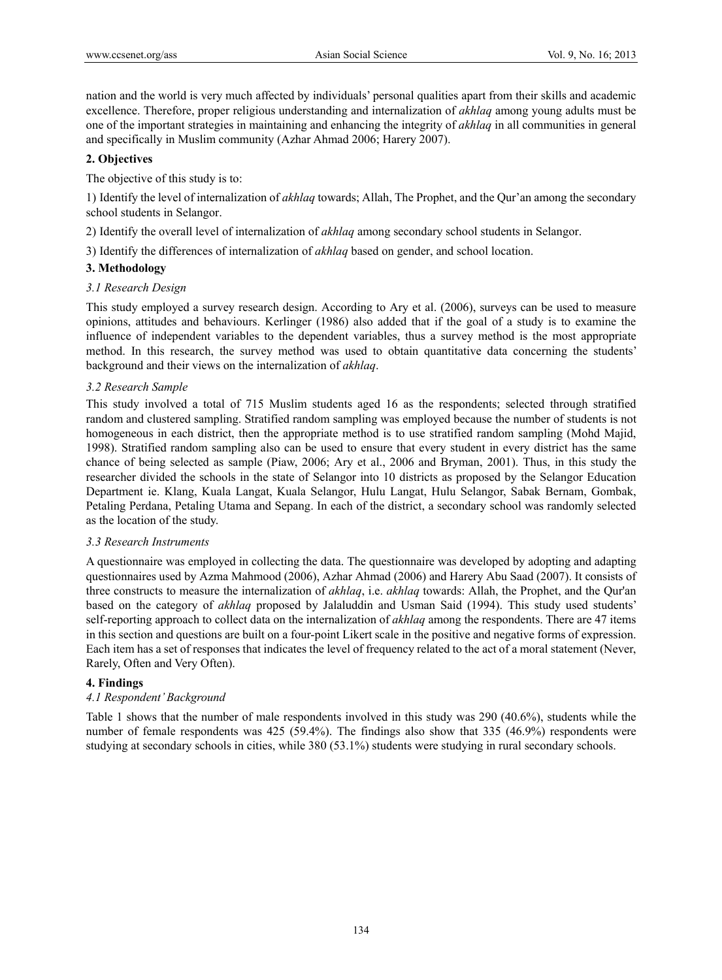nation and the world is very much affected by individuals' personal qualities apart from their skills and academic excellence. Therefore, proper religious understanding and internalization of *akhlaq* among young adults must be one of the important strategies in maintaining and enhancing the integrity of *akhlaq* in all communities in general and specifically in Muslim community (Azhar Ahmad 2006; Harery 2007).

# **2. Objectives**

The objective of this study is to:

1) Identify the level of internalization of *akhlaq* towards; Allah, The Prophet, and the Qur'an among the secondary school students in Selangor.

2) Identify the overall level of internalization of *akhlaq* among secondary school students in Selangor.

3) Identify the differences of internalization of *akhlaq* based on gender, and school location.

# **3. Methodology**

# *3.1 Research Design*

This study employed a survey research design. According to Ary et al. (2006), surveys can be used to measure opinions, attitudes and behaviours. Kerlinger (1986) also added that if the goal of a study is to examine the influence of independent variables to the dependent variables, thus a survey method is the most appropriate method. In this research, the survey method was used to obtain quantitative data concerning the students' background and their views on the internalization of *akhlaq*.

# *3.2 Research Sample*

This study involved a total of 715 Muslim students aged 16 as the respondents; selected through stratified random and clustered sampling. Stratified random sampling was employed because the number of students is not homogeneous in each district, then the appropriate method is to use stratified random sampling (Mohd Majid, 1998). Stratified random sampling also can be used to ensure that every student in every district has the same chance of being selected as sample (Piaw, 2006; Ary et al., 2006 and Bryman, 2001). Thus, in this study the researcher divided the schools in the state of Selangor into 10 districts as proposed by the Selangor Education Department ie. Klang, Kuala Langat, Kuala Selangor, Hulu Langat, Hulu Selangor, Sabak Bernam, Gombak, Petaling Perdana, Petaling Utama and Sepang. In each of the district, a secondary school was randomly selected as the location of the study.

# *3.3 Research Instruments*

A questionnaire was employed in collecting the data. The questionnaire was developed by adopting and adapting questionnaires used by Azma Mahmood (2006), Azhar Ahmad (2006) and Harery Abu Saad (2007). It consists of three constructs to measure the internalization of *akhlaq*, i.e. *akhlaq* towards: Allah, the Prophet, and the Qur'an based on the category of *akhlaq* proposed by Jalaluddin and Usman Said (1994). This study used students' self-reporting approach to collect data on the internalization of *akhlaq* among the respondents. There are 47 items in this section and questions are built on a four-point Likert scale in the positive and negative forms of expression. Each item has a set of responses that indicates the level of frequency related to the act of a moral statement (Never, Rarely, Often and Very Often).

# **4. Findings**

# *4.1 Respondent' Background*

Table 1 shows that the number of male respondents involved in this study was 290 (40.6%), students while the number of female respondents was 425 (59.4%). The findings also show that 335 (46.9%) respondents were studying at secondary schools in cities, while 380 (53.1%) students were studying in rural secondary schools.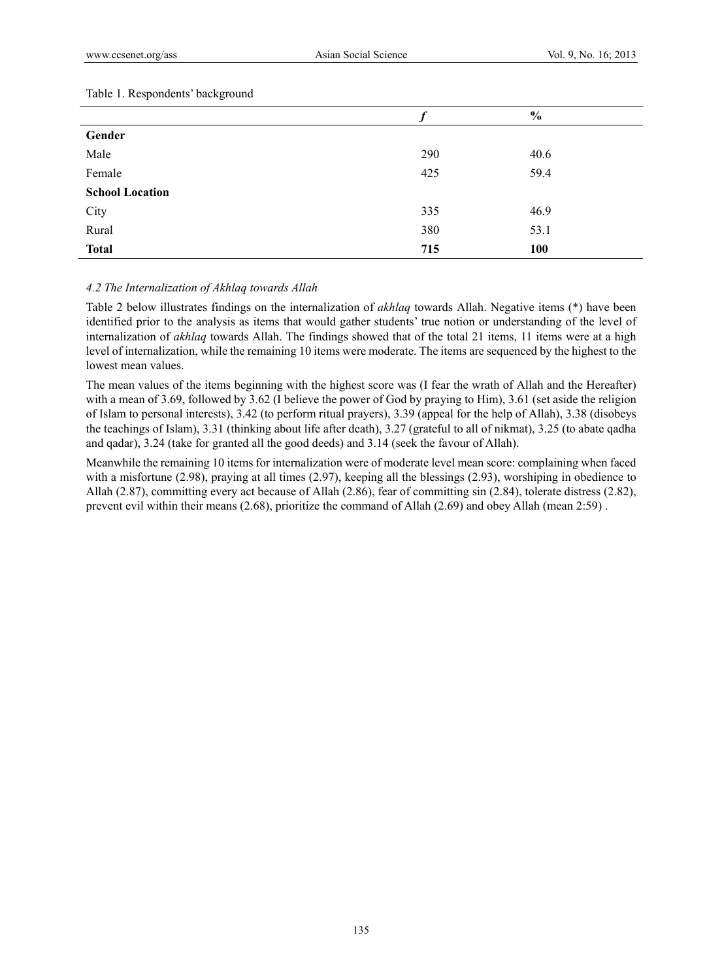#### Table 1. Respondents' background

|                        |     | $\frac{0}{0}$ |
|------------------------|-----|---------------|
| Gender                 |     |               |
| Male                   | 290 | 40.6          |
| Female                 | 425 | 59.4          |
| <b>School Location</b> |     |               |
| City                   | 335 | 46.9          |
| Rural                  | 380 | 53.1          |
| <b>Total</b>           | 715 | 100           |

# *4.2 The Internalization of Akhlaq towards Allah*

Table 2 below illustrates findings on the internalization of *akhlaq* towards Allah. Negative items (\*) have been identified prior to the analysis as items that would gather students' true notion or understanding of the level of internalization of *akhlaq* towards Allah. The findings showed that of the total 21 items, 11 items were at a high level of internalization, while the remaining 10 items were moderate. The items are sequenced by the highest to the lowest mean values.

The mean values of the items beginning with the highest score was (I fear the wrath of Allah and the Hereafter) with a mean of 3.69, followed by 3.62 (I believe the power of God by praying to Him), 3.61 (set aside the religion of Islam to personal interests), 3.42 (to perform ritual prayers), 3.39 (appeal for the help of Allah), 3.38 (disobeys the teachings of Islam), 3.31 (thinking about life after death), 3.27 (grateful to all of nikmat), 3.25 (to abate qadha and qadar), 3.24 (take for granted all the good deeds) and 3.14 (seek the favour of Allah).

Meanwhile the remaining 10 items for internalization were of moderate level mean score: complaining when faced with a misfortune (2.98), praying at all times (2.97), keeping all the blessings (2.93), worshiping in obedience to Allah (2.87), committing every act because of Allah (2.86), fear of committing sin (2.84), tolerate distress (2.82), prevent evil within their means (2.68), prioritize the command of Allah (2.69) and obey Allah (mean 2:59) .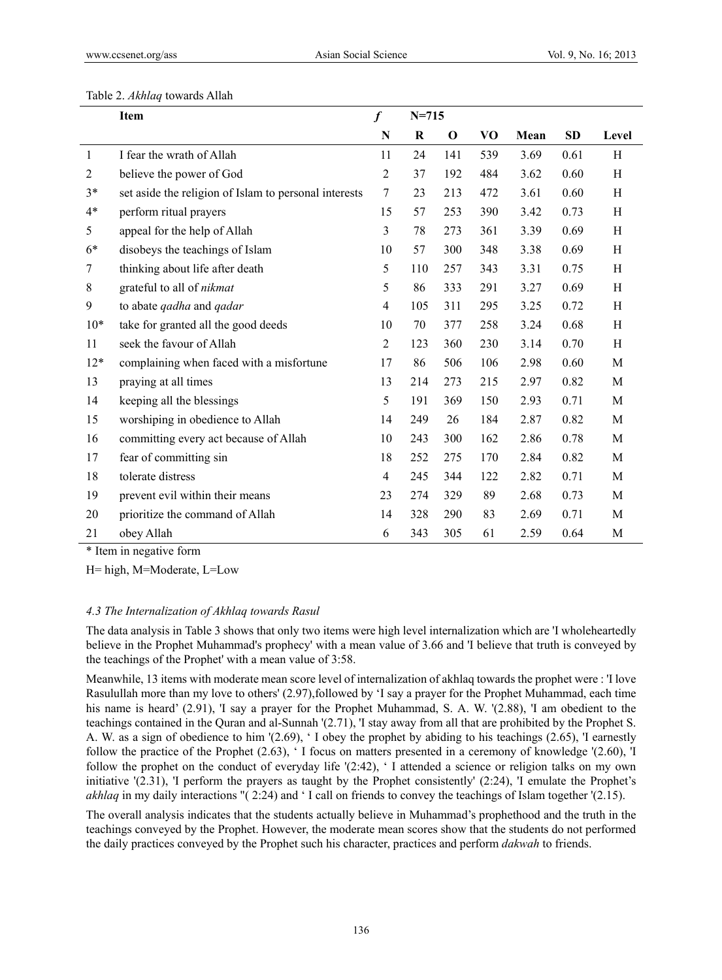#### Table 2. *Akhlaq* towards Allah

|              | <b>Item</b>                                           | $\boldsymbol{f}$ | $N = 715$ |             |     |      |      |       |
|--------------|-------------------------------------------------------|------------------|-----------|-------------|-----|------|------|-------|
|              |                                                       | $\mathbf N$      | $\bf R$   | $\mathbf 0$ | VO  | Mean | SD   | Level |
| $\mathbf{1}$ | I fear the wrath of Allah                             | 11               | 24        | 141         | 539 | 3.69 | 0.61 | H     |
| 2            | believe the power of God                              | $\overline{2}$   | 37        | 192         | 484 | 3.62 | 0.60 | H     |
| $3*$         | set aside the religion of Islam to personal interests | 7                | 23        | 213         | 472 | 3.61 | 0.60 | H     |
| $4*$         | perform ritual prayers                                | 15               | 57        | 253         | 390 | 3.42 | 0.73 | H     |
| 5            | appeal for the help of Allah                          | 3                | 78        | 273         | 361 | 3.39 | 0.69 | H     |
| $6*$         | disobeys the teachings of Islam                       | 10               | 57        | 300         | 348 | 3.38 | 0.69 | H     |
| 7            | thinking about life after death                       | 5                | 110       | 257         | 343 | 3.31 | 0.75 | H     |
| $\,8\,$      | grateful to all of nikmat                             | 5                | 86        | 333         | 291 | 3.27 | 0.69 | H     |
| 9            | to abate <i>qadha</i> and <i>qadar</i>                | $\overline{4}$   | 105       | 311         | 295 | 3.25 | 0.72 | H     |
| $10*$        | take for granted all the good deeds                   | 10               | 70        | 377         | 258 | 3.24 | 0.68 | H     |
| 11           | seek the favour of Allah                              | $\overline{2}$   | 123       | 360         | 230 | 3.14 | 0.70 | H     |
| $12*$        | complaining when faced with a misfortune              | 17               | 86        | 506         | 106 | 2.98 | 0.60 | M     |
| 13           | praying at all times                                  | 13               | 214       | 273         | 215 | 2.97 | 0.82 | M     |
| 14           | keeping all the blessings                             | 5                | 191       | 369         | 150 | 2.93 | 0.71 | M     |
| 15           | worshiping in obedience to Allah                      | 14               | 249       | 26          | 184 | 2.87 | 0.82 | M     |
| 16           | committing every act because of Allah                 | 10               | 243       | 300         | 162 | 2.86 | 0.78 | M     |
| 17           | fear of committing sin                                | 18               | 252       | 275         | 170 | 2.84 | 0.82 | M     |
| 18           | tolerate distress                                     | $\overline{4}$   | 245       | 344         | 122 | 2.82 | 0.71 | M     |
| 19           | prevent evil within their means                       | 23               | 274       | 329         | 89  | 2.68 | 0.73 | M     |
| 20           | prioritize the command of Allah                       | 14               | 328       | 290         | 83  | 2.69 | 0.71 | M     |
| 21           | obey Allah                                            | 6                | 343       | 305         | 61  | 2.59 | 0.64 | M     |

\* Item in negative form

H= high, M=Moderate, L=Low

# *4.3 The Internalization of Akhlaq towards Rasul*

The data analysis in Table 3 shows that only two items were high level internalization which are 'I wholeheartedly believe in the Prophet Muhammad's prophecy' with a mean value of 3.66 and 'I believe that truth is conveyed by the teachings of the Prophet' with a mean value of 3:58.

Meanwhile, 13 items with moderate mean score level of internalization of akhlaq towards the prophet were : 'I love Rasulullah more than my love to others' (2.97),followed by 'I say a prayer for the Prophet Muhammad, each time his name is heard' (2.91), 'I say a prayer for the Prophet Muhammad, S. A. W. '(2.88), 'I am obedient to the teachings contained in the Quran and al-Sunnah '(2.71), 'I stay away from all that are prohibited by the Prophet S. A. W. as a sign of obedience to him ' $(2.69)$ , ' I obey the prophet by abiding to his teachings (2.65), 'I earnestly follow the practice of the Prophet (2.63), ' I focus on matters presented in a ceremony of knowledge '(2.60), 'I follow the prophet on the conduct of everyday life '(2:42), ' I attended a science or religion talks on my own initiative '(2.31), 'I perform the prayers as taught by the Prophet consistently' (2:24), 'I emulate the Prophet's *akhlaq* in my daily interactions "( 2:24) and ' I call on friends to convey the teachings of Islam together '(2.15).

The overall analysis indicates that the students actually believe in Muhammad's prophethood and the truth in the teachings conveyed by the Prophet. However, the moderate mean scores show that the students do not performed the daily practices conveyed by the Prophet such his character, practices and perform *dakwah* to friends.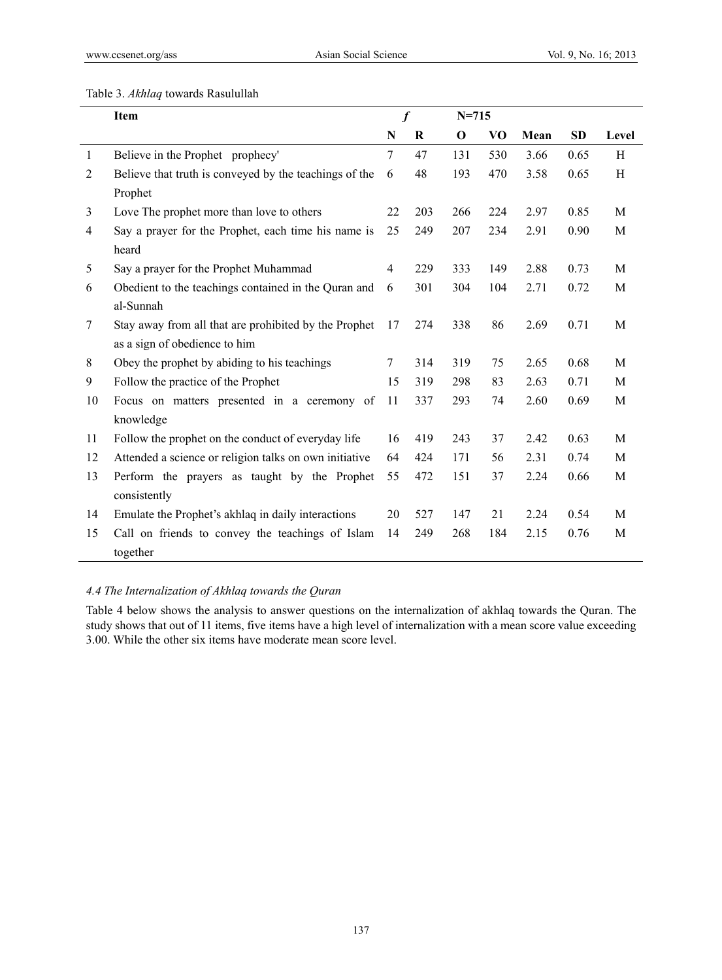# Table 3. *Akhlaq* towards Rasulullah

|                | <b>Item</b>                                            | $\boldsymbol{f}$ |         | $N = 715$   |     |      |           |       |
|----------------|--------------------------------------------------------|------------------|---------|-------------|-----|------|-----------|-------|
|                |                                                        | N                | $\bf R$ | $\mathbf 0$ | VO  | Mean | <b>SD</b> | Level |
| $\mathbf{1}$   | Believe in the Prophet prophecy'                       | $\tau$           | 47      | 131         | 530 | 3.66 | 0.65      | H     |
| $\overline{2}$ | Believe that truth is conveyed by the teachings of the | 6                | 48      | 193         | 470 | 3.58 | 0.65      | H     |
|                | Prophet                                                |                  |         |             |     |      |           |       |
| 3              | Love The prophet more than love to others              | 22               | 203     | 266         | 224 | 2.97 | 0.85      | M     |
| 4              | Say a prayer for the Prophet, each time his name is    | 25               | 249     | 207         | 234 | 2.91 | 0.90      | M     |
|                | heard                                                  |                  |         |             |     |      |           |       |
| 5              | Say a prayer for the Prophet Muhammad                  | $\overline{4}$   | 229     | 333         | 149 | 2.88 | 0.73      | M     |
| 6              | Obedient to the teachings contained in the Quran and   | 6                | 301     | 304         | 104 | 2.71 | 0.72      | M     |
|                | al-Sunnah                                              |                  |         |             |     |      |           |       |
| 7              | Stay away from all that are prohibited by the Prophet  | 17               | 274     | 338         | 86  | 2.69 | 0.71      | M     |
|                | as a sign of obedience to him                          |                  |         |             |     |      |           |       |
| 8              | Obey the prophet by abiding to his teachings           | 7                | 314     | 319         | 75  | 2.65 | 0.68      | M     |
| 9              | Follow the practice of the Prophet                     | 15               | 319     | 298         | 83  | 2.63 | 0.71      | M     |
| 10             | Focus on matters presented in a ceremony of            | 11               | 337     | 293         | 74  | 2.60 | 0.69      | M     |
|                | knowledge                                              |                  |         |             |     |      |           |       |
| 11             | Follow the prophet on the conduct of everyday life     | 16               | 419     | 243         | 37  | 2.42 | 0.63      | M     |
| 12             | Attended a science or religion talks on own initiative | 64               | 424     | 171         | 56  | 2.31 | 0.74      | M     |
| 13             | Perform the prayers as taught by the Prophet           | 55               | 472     | 151         | 37  | 2.24 | 0.66      | M     |
|                | consistently                                           |                  |         |             |     |      |           |       |
| 14             | Emulate the Prophet's akhlaq in daily interactions     | 20               | 527     | 147         | 21  | 2.24 | 0.54      | M     |
| 15             | Call on friends to convey the teachings of Islam       | 14               | 249     | 268         | 184 | 2.15 | 0.76      | M     |
|                | together                                               |                  |         |             |     |      |           |       |

# *4.4 The Internalization of Akhlaq towards the Quran*

Table 4 below shows the analysis to answer questions on the internalization of akhlaq towards the Quran. The study shows that out of 11 items, five items have a high level of internalization with a mean score value exceeding 3.00. While the other six items have moderate mean score level.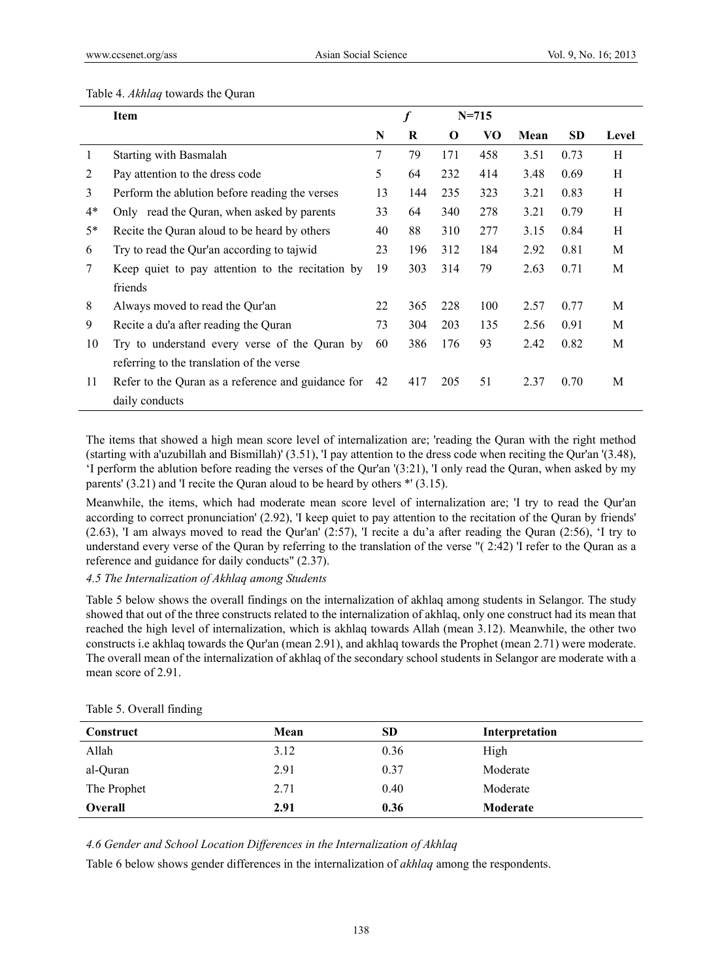#### Table 4. *Akhlaq* towards the Quran

|                | <b>Item</b>                                        | $\boldsymbol{f}$ |     | $N = 715$ |     |      |           |       |
|----------------|----------------------------------------------------|------------------|-----|-----------|-----|------|-----------|-------|
|                |                                                    | N                | R   | O         | VO  | Mean | <b>SD</b> | Level |
| 1              | <b>Starting with Basmalah</b>                      | 7                | 79  | 171       | 458 | 3.51 | 0.73      | H     |
| $\overline{2}$ | Pay attention to the dress code                    | 5                | 64  | 232       | 414 | 3.48 | 0.69      | H     |
| 3              | Perform the ablution before reading the verses     | 13               | 144 | 235       | 323 | 3.21 | 0.83      | H     |
| $4*$           | Only read the Quran, when asked by parents         | 33               | 64  | 340       | 278 | 3.21 | 0.79      | H     |
| $5*$           | Recite the Quran aloud to be heard by others       | 40               | 88  | 310       | 277 | 3.15 | 0.84      | H     |
| 6              | Try to read the Qur'an according to tajwid         | 23               | 196 | 312       | 184 | 2.92 | 0.81      | M     |
| 7              | Keep quiet to pay attention to the recitation by   | 19               | 303 | 314       | 79  | 2.63 | 0.71      | M     |
|                | friends                                            |                  |     |           |     |      |           |       |
| 8              | Always moved to read the Qur'an                    | 22               | 365 | 228       | 100 | 2.57 | 0.77      | M     |
| 9              | Recite a du'a after reading the Quran              | 73               | 304 | 203       | 135 | 2.56 | 0.91      | M     |
| 10             | Try to understand every verse of the Quran by      | 60               | 386 | 176       | 93  | 2.42 | 0.82      | M     |
|                | referring to the translation of the verse          |                  |     |           |     |      |           |       |
| 11             | Refer to the Quran as a reference and guidance for | 42               | 417 | 205       | 51  | 2.37 | 0.70      | M     |
|                | daily conducts                                     |                  |     |           |     |      |           |       |

The items that showed a high mean score level of internalization are; 'reading the Quran with the right method (starting with a'uzubillah and Bismillah)' (3.51), 'I pay attention to the dress code when reciting the Qur'an '(3.48), 'I perform the ablution before reading the verses of the Qur'an '(3:21), 'I only read the Quran, when asked by my parents' (3.21) and 'I recite the Quran aloud to be heard by others \*' (3.15).

Meanwhile, the items, which had moderate mean score level of internalization are; 'I try to read the Qur'an according to correct pronunciation' (2.92), 'I keep quiet to pay attention to the recitation of the Quran by friends' (2.63), 'I am always moved to read the Qur'an' (2:57), 'I recite a du'a after reading the Quran (2:56), 'I try to understand every verse of the Quran by referring to the translation of the verse "( 2:42) 'I refer to the Quran as a reference and guidance for daily conducts" (2.37).

*4.5 The Internalization of Akhlaq among Students* 

Table 5 below shows the overall findings on the internalization of akhlaq among students in Selangor. The study showed that out of the three constructs related to the internalization of akhlaq, only one construct had its mean that reached the high level of internalization, which is akhlaq towards Allah (mean 3.12). Meanwhile, the other two constructs i.e akhlaq towards the Qur'an (mean 2.91), and akhlaq towards the Prophet (mean 2.71) were moderate. The overall mean of the internalization of akhlaq of the secondary school students in Selangor are moderate with a mean score of 2.91.

| Construct      | Mean | SD   | Interpretation |
|----------------|------|------|----------------|
| Allah          | 3.12 | 0.36 | High           |
| al-Quran       | 2.91 | 0.37 | Moderate       |
| The Prophet    | 2.71 | 0.40 | Moderate       |
| <b>Overall</b> | 2.91 | 0.36 | Moderate       |

*4.6 Gender and School Location Differences in the Internalization of Akhlaq* 

Table 6 below shows gender differences in the internalization of *akhlaq* among the respondents.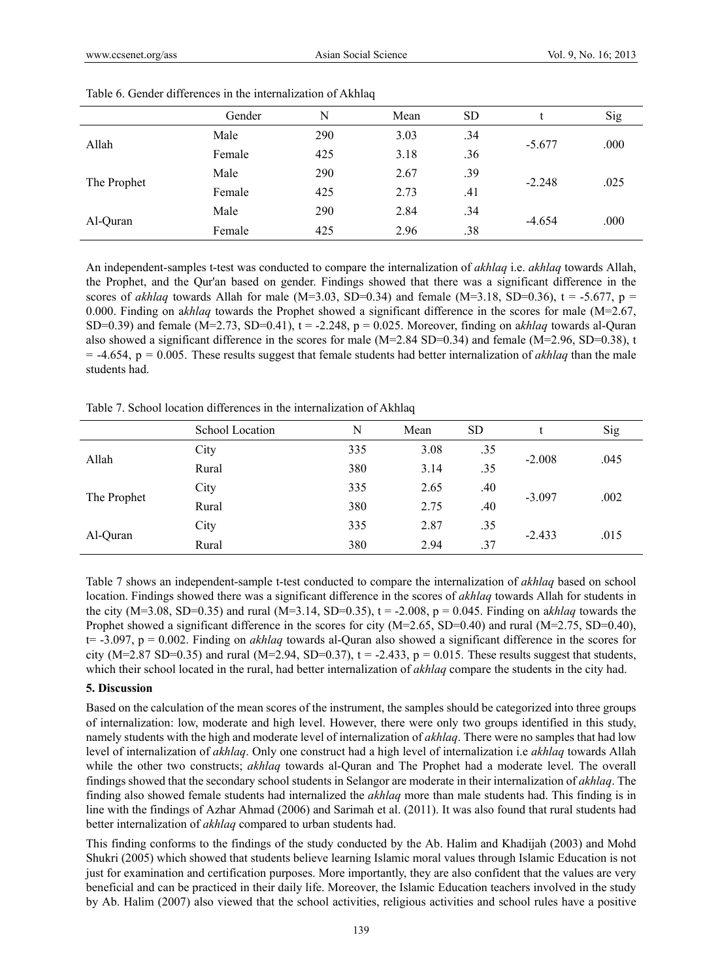|             | Gender | N   | Mean | <b>SD</b> |          | Sig  |
|-------------|--------|-----|------|-----------|----------|------|
| Allah       | Male   | 290 | 3.03 | .34       | $-5.677$ |      |
|             | Female | 425 | 3.18 | .36       |          | .000 |
|             | Male   | 290 | 2.67 | .39       |          |      |
| The Prophet | Female | 425 | 2.73 | .41       | $-2.248$ | .025 |
|             | Male   | 290 | 2.84 | .34       |          |      |
| Al-Quran    | Female | 425 | 2.96 | .38       | $-4.654$ | .000 |

| Table 6. Gender differences in the internalization of Akhlaq |  |  |  |  |  |  |  |
|--------------------------------------------------------------|--|--|--|--|--|--|--|
|--------------------------------------------------------------|--|--|--|--|--|--|--|

An independent-samples t-test was conducted to compare the internalization of *akhlaq* i.e. *akhlaq* towards Allah, the Prophet, and the Qur'an based on gender. Findings showed that there was a significant difference in the scores of *akhlaq* towards Allah for male (M=3.03, SD=0.34) and female (M=3.18, SD=0.36), t = -5.677, p = 0.000. Finding on a*khlaq* towards the Prophet showed a significant difference in the scores for male (M=2.67, SD=0.39) and female  $(M=2.73, SD=0.41)$ ,  $t = -2.248$ ,  $p = 0.025$ . Moreover, finding on akhlaq towards al-Quran also showed a significant difference in the scores for male  $(M=2.84$  SD=0.34) and female  $(M=2.96, SD=0.38)$ , t  $= -4.654$ ,  $p = 0.005$ . These results suggest that female students had better internalization of *akhlaq* than the male students had.

Table 7. School location differences in the internalization of Akhlaq

|             | School Location | N   | Mean | <b>SD</b> |          | Sig  |
|-------------|-----------------|-----|------|-----------|----------|------|
| Allah       | City            | 335 | 3.08 | .35       | $-2.008$ | .045 |
|             | Rural           | 380 | 3.14 | .35       |          |      |
| The Prophet | City            | 335 | 2.65 | .40       | $-3.097$ | .002 |
|             | Rural           | 380 | 2.75 | .40       |          |      |
|             | City            | 335 | 2.87 | .35       | $-2.433$ |      |
| Al-Quran    | Rural           | 380 | 2.94 | .37       |          | .015 |

Table 7 shows an independent-sample t-test conducted to compare the internalization of *akhlaq* based on school location. Findings showed there was a significant difference in the scores of *akhlaq* towards Allah for students in the city (M=3.08, SD=0.35) and rural (M=3.14, SD=0.35),  $t = -2.008$ ,  $p = 0.045$ . Finding on a*khlaq* towards the Prophet showed a significant difference in the scores for city (M=2.65, SD=0.40) and rural (M=2.75, SD=0.40), t= -3.097, p = 0.002. Finding on *akhlaq* towards al-Quran also showed a significant difference in the scores for city (M=2.87 SD=0.35) and rural (M=2.94, SD=0.37),  $t = -2.433$ ,  $p = 0.015$ . These results suggest that students, which their school located in the rural, had better internalization of *akhlaq* compare the students in the city had.

#### **5. Discussion**

Based on the calculation of the mean scores of the instrument, the samples should be categorized into three groups of internalization: low, moderate and high level. However, there were only two groups identified in this study, namely students with the high and moderate level of internalization of *akhlaq*. There were no samples that had low level of internalization of *akhlaq*. Only one construct had a high level of internalization i.e *akhlaq* towards Allah while the other two constructs; *akhlaq* towards al-Quran and The Prophet had a moderate level. The overall findings showed that the secondary school students in Selangor are moderate in their internalization of *akhlaq*. The finding also showed female students had internalized the *akhlaq* more than male students had. This finding is in line with the findings of Azhar Ahmad (2006) and Sarimah et al. (2011). It was also found that rural students had better internalization of *akhlaq* compared to urban students had.

This finding conforms to the findings of the study conducted by the Ab. Halim and Khadijah (2003) and Mohd Shukri (2005) which showed that students believe learning Islamic moral values through Islamic Education is not just for examination and certification purposes. More importantly, they are also confident that the values are very beneficial and can be practiced in their daily life. Moreover, the Islamic Education teachers involved in the study by Ab. Halim (2007) also viewed that the school activities, religious activities and school rules have a positive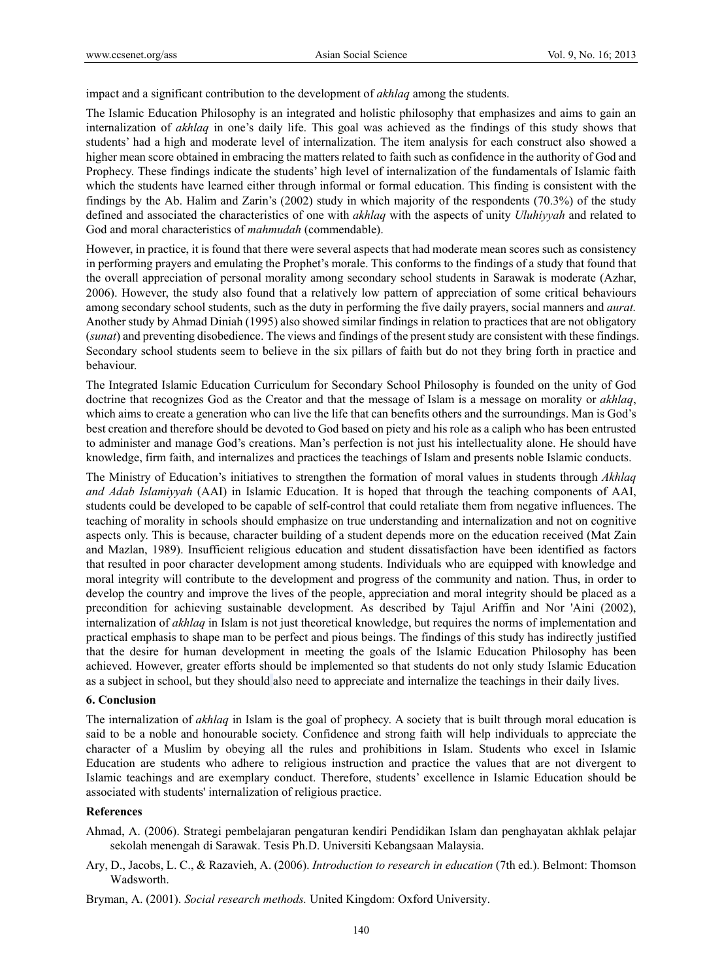impact and a significant contribution to the development of *akhlaq* among the students.

The Islamic Education Philosophy is an integrated and holistic philosophy that emphasizes and aims to gain an internalization of *akhlaq* in one's daily life. This goal was achieved as the findings of this study shows that students' had a high and moderate level of internalization. The item analysis for each construct also showed a higher mean score obtained in embracing the matters related to faith such as confidence in the authority of God and Prophecy. These findings indicate the students' high level of internalization of the fundamentals of Islamic faith which the students have learned either through informal or formal education. This finding is consistent with the findings by the Ab. Halim and Zarin's (2002) study in which majority of the respondents (70.3%) of the study defined and associated the characteristics of one with *akhlaq* with the aspects of unity *Uluhiyyah* and related to God and moral characteristics of *mahmudah* (commendable).

However, in practice, it is found that there were several aspects that had moderate mean scores such as consistency in performing prayers and emulating the Prophet's morale. This conforms to the findings of a study that found that the overall appreciation of personal morality among secondary school students in Sarawak is moderate (Azhar, 2006). However, the study also found that a relatively low pattern of appreciation of some critical behaviours among secondary school students, such as the duty in performing the five daily prayers, social manners and *aurat.* Another study by Ahmad Diniah (1995) also showed similar findings in relation to practices that are not obligatory (*sunat*) and preventing disobedience. The views and findings of the present study are consistent with these findings. Secondary school students seem to believe in the six pillars of faith but do not they bring forth in practice and behaviour.

The Integrated Islamic Education Curriculum for Secondary School Philosophy is founded on the unity of God doctrine that recognizes God as the Creator and that the message of Islam is a message on morality or *akhlaq*, which aims to create a generation who can live the life that can benefits others and the surroundings. Man is God's best creation and therefore should be devoted to God based on piety and his role as a caliph who has been entrusted to administer and manage God's creations. Man's perfection is not just his intellectuality alone. He should have knowledge, firm faith, and internalizes and practices the teachings of Islam and presents noble Islamic conducts.

The Ministry of Education's initiatives to strengthen the formation of moral values in students through *Akhlaq and Adab Islamiyyah* (AAI) in Islamic Education. It is hoped that through the teaching components of AAI, students could be developed to be capable of self-control that could retaliate them from negative influences. The teaching of morality in schools should emphasize on true understanding and internalization and not on cognitive aspects only. This is because, character building of a student depends more on the education received (Mat Zain and Mazlan, 1989). Insufficient religious education and student dissatisfaction have been identified as factors that resulted in poor character development among students. Individuals who are equipped with knowledge and moral integrity will contribute to the development and progress of the community and nation. Thus, in order to develop the country and improve the lives of the people, appreciation and moral integrity should be placed as a precondition for achieving sustainable development. As described by Tajul Ariffin and Nor 'Aini (2002), internalization of *akhlaq* in Islam is not just theoretical knowledge, but requires the norms of implementation and practical emphasis to shape man to be perfect and pious beings. The findings of this study has indirectly justified that the desire for human development in meeting the goals of the Islamic Education Philosophy has been achieved. However, greater efforts should be implemented so that students do not only study Islamic Education as a subject in school, but they should also need to appreciate and internalize the teachings in their daily lives.

# **6. Conclusion**

The internalization of *akhlaq* in Islam is the goal of prophecy. A society that is built through moral education is said to be a noble and honourable society. Confidence and strong faith will help individuals to appreciate the character of a Muslim by obeying all the rules and prohibitions in Islam. Students who excel in Islamic Education are students who adhere to religious instruction and practice the values that are not divergent to Islamic teachings and are exemplary conduct. Therefore, students' excellence in Islamic Education should be associated with students' internalization of religious practice.

# **References**

- Ahmad, A. (2006). Strategi pembelajaran pengaturan kendiri Pendidikan Islam dan penghayatan akhlak pelajar sekolah menengah di Sarawak. Tesis Ph.D. Universiti Kebangsaan Malaysia.
- Ary, D., Jacobs, L. C., & Razavieh, A. (2006). *Introduction to research in education* (7th ed.). Belmont: Thomson Wadsworth.

Bryman, A. (2001). *Social research methods.* United Kingdom: Oxford University.